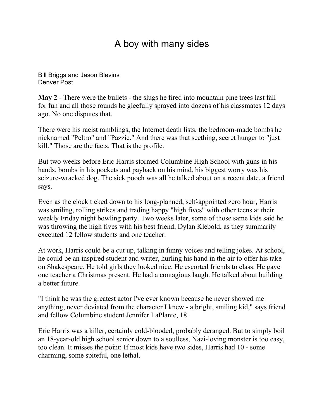## A boy with many sides

[Bill Briggs and Jason Blevins](mailto:newsroom@denverpost.com) Denver Post

**May 2** - There were the bullets - the slugs he fired into mountain pine trees last fall for fun and all those rounds he gleefully sprayed into dozens of his classmates 12 days ago. No one disputes that.

There were his racist ramblings, the Internet death lists, the bedroom-made bombs he nicknamed "Peltro" and "Pazzie." And there was that seething, secret hunger to "just kill." Those are the facts. That is the profile.

But two weeks before Eric Harris stormed Columbine High School with guns in his hands, bombs in his pockets and payback on his mind, his biggest worry was his seizure-wracked dog. The sick pooch was all he talked about on a recent date, a friend says.

Even as the clock ticked down to his long-planned, self-appointed zero hour, Harris was smiling, rolling strikes and trading happy "high fives" with other teens at their weekly Friday night bowling party. Two weeks later, some of those same kids said he was throwing the high fives with his best friend, Dylan Klebold, as they summarily executed 12 fellow students and one teacher.

At work, Harris could be a cut up, talking in funny voices and telling jokes. At school, he could be an inspired student and writer, hurling his hand in the air to offer his take on Shakespeare. He told girls they looked nice. He escorted friends to class. He gave one teacher a Christmas present. He had a contagious laugh. He talked about building a better future.

"I think he was the greatest actor I've ever known because he never showed me anything, never deviated from the character I knew - a bright, smiling kid," says friend and fellow Columbine student Jennifer LaPlante, 18.

Eric Harris was a killer, certainly cold-blooded, probably deranged. But to simply boil an 18-year-old high school senior down to a soulless, Nazi-loving monster is too easy, too clean. It misses the point: If most kids have two sides, Harris had 10 - some charming, some spiteful, one lethal.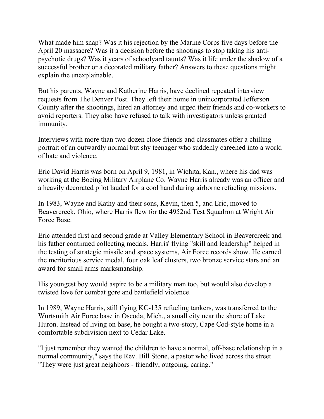What made him snap? Was it his rejection by the Marine Corps five days before the April 20 massacre? Was it a decision before the shootings to stop taking his antipsychotic drugs? Was it years of schoolyard taunts? Was it life under the shadow of a successful brother or a decorated military father? Answers to these questions might explain the unexplainable.

But his parents, Wayne and Katherine Harris, have declined repeated interview requests from The Denver Post. They left their home in unincorporated Jefferson County after the shootings, hired an attorney and urged their friends and co-workers to avoid reporters. They also have refused to talk with investigators unless granted immunity.

Interviews with more than two dozen close friends and classmates offer a chilling portrait of an outwardly normal but shy teenager who suddenly careened into a world of hate and violence.

Eric David Harris was born on April 9, 1981, in Wichita, Kan., where his dad was working at the Boeing Military Airplane Co. Wayne Harris already was an officer and a heavily decorated pilot lauded for a cool hand during airborne refueling missions.

In 1983, Wayne and Kathy and their sons, Kevin, then 5, and Eric, moved to Beavercreek, Ohio, where Harris flew for the 4952nd Test Squadron at Wright Air Force Base.

Eric attended first and second grade at Valley Elementary School in Beavercreek and his father continued collecting medals. Harris' flying "skill and leadership" helped in the testing of strategic missile and space systems, Air Force records show. He earned the meritorious service medal, four oak leaf clusters, two bronze service stars and an award for small arms marksmanship.

His youngest boy would aspire to be a military man too, but would also develop a twisted love for combat gore and battlefield violence.

In 1989, Wayne Harris, still flying KC-135 refueling tankers, was transferred to the Wurtsmith Air Force base in Oscoda, Mich., a small city near the shore of Lake Huron. Instead of living on base, he bought a two-story, Cape Cod-style home in a comfortable subdivision next to Cedar Lake.

"I just remember they wanted the children to have a normal, off-base relationship in a normal community," says the Rev. Bill Stone, a pastor who lived across the street. "They were just great neighbors - friendly, outgoing, caring."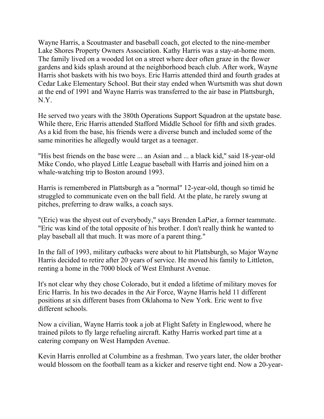Wayne Harris, a Scoutmaster and baseball coach, got elected to the nine-member Lake Shores Property Owners Association. Kathy Harris was a stay-at-home mom. The family lived on a wooded lot on a street where deer often graze in the flower gardens and kids splash around at the neighborhood beach club. After work, Wayne Harris shot baskets with his two boys. Eric Harris attended third and fourth grades at Cedar Lake Elementary School. But their stay ended when Wurtsmith was shut down at the end of 1991 and Wayne Harris was transferred to the air base in Plattsburgh, N.Y.

He served two years with the 380th Operations Support Squadron at the upstate base. While there, Eric Harris attended Stafford Middle School for fifth and sixth grades. As a kid from the base, his friends were a diverse bunch and included some of the same minorities he allegedly would target as a teenager.

"His best friends on the base were ... an Asian and ... a black kid," said 18-year-old Mike Condo, who played Little League baseball with Harris and joined him on a whale-watching trip to Boston around 1993.

Harris is remembered in Plattsburgh as a "normal" 12-year-old, though so timid he struggled to communicate even on the ball field. At the plate, he rarely swung at pitches, preferring to draw walks, a coach says.

"(Eric) was the shyest out of everybody," says Brenden LaPier, a former teammate. "Eric was kind of the total opposite of his brother. I don't really think he wanted to play baseball all that much. It was more of a parent thing."

In the fall of 1993, military cutbacks were about to hit Plattsburgh, so Major Wayne Harris decided to retire after 20 years of service. He moved his family to Littleton, renting a home in the 7000 block of West Elmhurst Avenue.

It's not clear why they chose Colorado, but it ended a lifetime of military moves for Eric Harris. In his two decades in the Air Force, Wayne Harris held 11 different positions at six different bases from Oklahoma to New York. Eric went to five different schools.

Now a civilian, Wayne Harris took a job at Flight Safety in Englewood, where he trained pilots to fly large refueling aircraft. Kathy Harris worked part time at a catering company on West Hampden Avenue.

Kevin Harris enrolled at Columbine as a freshman. Two years later, the older brother would blossom on the football team as a kicker and reserve tight end. Now a 20-year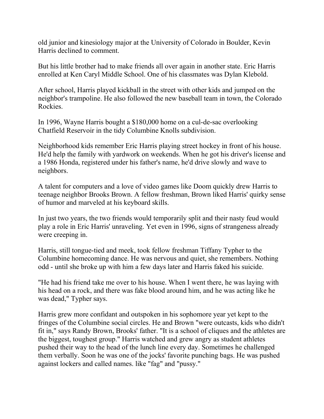old junior and kinesiology major at the University of Colorado in Boulder, Kevin Harris declined to comment.

But his little brother had to make friends all over again in another state. Eric Harris enrolled at Ken Caryl Middle School. One of his classmates was Dylan Klebold.

After school, Harris played kickball in the street with other kids and jumped on the neighbor's trampoline. He also followed the new baseball team in town, the Colorado Rockies.

In 1996, Wayne Harris bought a \$180,000 home on a cul-de-sac overlooking Chatfield Reservoir in the tidy Columbine Knolls subdivision.

Neighborhood kids remember Eric Harris playing street hockey in front of his house. He'd help the family with yardwork on weekends. When he got his driver's license and a 1986 Honda, registered under his father's name, he'd drive slowly and wave to neighbors.

A talent for computers and a love of video games like Doom quickly drew Harris to teenage neighbor Brooks Brown. A fellow freshman, Brown liked Harris' quirky sense of humor and marveled at his keyboard skills.

In just two years, the two friends would temporarily split and their nasty feud would play a role in Eric Harris' unraveling. Yet even in 1996, signs of strangeness already were creeping in.

Harris, still tongue-tied and meek, took fellow freshman Tiffany Typher to the Columbine homecoming dance. He was nervous and quiet, she remembers. Nothing odd - until she broke up with him a few days later and Harris faked his suicide.

"He had his friend take me over to his house. When I went there, he was laying with his head on a rock, and there was fake blood around him, and he was acting like he was dead," Typher says.

Harris grew more confidant and outspoken in his sophomore year yet kept to the fringes of the Columbine social circles. He and Brown "were outcasts, kids who didn't fit in," says Randy Brown, Brooks' father. "It is a school of cliques and the athletes are the biggest, toughest group." Harris watched and grew angry as student athletes pushed their way to the head of the lunch line every day. Sometimes he challenged them verbally. Soon he was one of the jocks' favorite punching bags. He was pushed against lockers and called names. like "fag" and "pussy."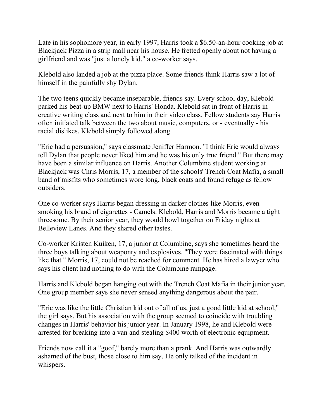Late in his sophomore year, in early 1997, Harris took a \$6.50-an-hour cooking job at Blackjack Pizza in a strip mall near his house. He fretted openly about not having a girlfriend and was "just a lonely kid," a co-worker says.

Klebold also landed a job at the pizza place. Some friends think Harris saw a lot of himself in the painfully shy Dylan.

The two teens quickly became inseparable, friends say. Every school day, Klebold parked his beat-up BMW next to Harris' Honda. Klebold sat in front of Harris in creative writing class and next to him in their video class. Fellow students say Harris often initiated talk between the two about music, computers, or - eventually - his racial dislikes. Klebold simply followed along.

"Eric had a persuasion," says classmate Jeniffer Harmon. "I think Eric would always tell Dylan that people never liked him and he was his only true friend." But there may have been a similar influence on Harris. Another Columbine student working at Blackjack was Chris Morris, 17, a member of the schools' Trench Coat Mafia, a small band of misfits who sometimes wore long, black coats and found refuge as fellow outsiders.

One co-worker says Harris began dressing in darker clothes like Morris, even smoking his brand of cigarettes - Camels. Klebold, Harris and Morris became a tight threesome. By their senior year, they would bowl together on Friday nights at Belleview Lanes. And they shared other tastes.

Co-worker Kristen Kuiken, 17, a junior at Columbine, says she sometimes heard the three boys talking about weaponry and explosives. "They were fascinated with things like that." Morris, 17, could not be reached for comment. He has hired a lawyer who says his client had nothing to do with the Columbine rampage.

Harris and Klebold began hanging out with the Trench Coat Mafia in their junior year. One group member says she never sensed anything dangerous about the pair.

"Eric was like the little Christian kid out of all of us, just a good little kid at school," the girl says. But his association with the group seemed to coincide with troubling changes in Harris' behavior his junior year. In January 1998, he and Klebold were arrested for breaking into a van and stealing \$400 worth of electronic equipment.

Friends now call it a "goof," barely more than a prank. And Harris was outwardly ashamed of the bust, those close to him say. He only talked of the incident in whispers.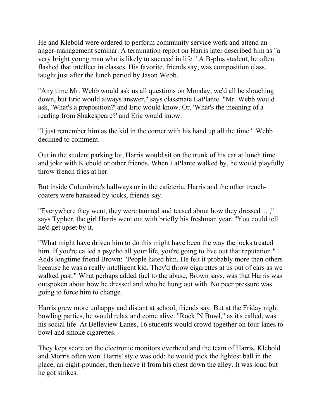He and Klebold were ordered to perform community service work and attend an anger-management seminar. A termination report on Harris later described him as "a very bright young man who is likely to succeed in life." A B-plus student, he often flashed that intellect in classes. His favorite, friends say, was composition class, taught just after the lunch period by Jason Webb.

"Any time Mr. Webb would ask us all questions on Monday, we'd all be slouching down, but Eric would always answer," says classmate LaPlante. "Mr. Webb would ask, 'What's a preposition?' and Eric would know. Or, 'What's the meaning of a reading from Shakespeare?' and Eric would know.

"I just remember him as the kid in the corner with his hand up all the time." Webb declined to comment.

Out in the student parking lot, Harris would sit on the trunk of his car at lunch time and joke with Klebold or other friends. When LaPlante walked by, he would playfully throw french fries at her.

But inside Columbine's hallways or in the cafeteria, Harris and the other trenchcoaters were harassed by jocks, friends say.

"Everywhere they went, they were taunted and teased about how they dressed ... ," says Typher, the girl Harris went out with briefly his freshman year. "You could tell he'd get upset by it.

"What might have driven him to do this might have been the way the jocks treated him. If you're called a psycho all your life, you're going to live out that reputation." Adds longtime friend Brown: "People hated him. He felt it probably more than others because he was a really intelligent kid. They'd throw cigarettes at us out of cars as we walked past." What perhaps added fuel to the abuse, Brown says, was that Harris was outspoken about how he dressed and who he hung out with. No peer pressure was going to force him to change.

Harris grew more unhappy and distant at school, friends say. But at the Friday night bowling parties, he would relax and come alive. "Rock 'N Bowl," as it's called, was his social life. At Belleview Lanes, 16 students would crowd together on four lanes to bowl and smoke cigarettes.

They kept score on the electronic monitors overhead and the team of Harris, Klebold and Morris often won. Harris' style was odd: he would pick the lightest ball in the place, an eight-pounder, then heave it from his chest down the alley. It was loud but he got strikes.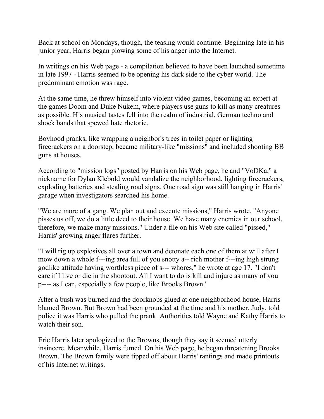Back at school on Mondays, though, the teasing would continue. Beginning late in his junior year, Harris began plowing some of his anger into the Internet.

In writings on his Web page - a compilation believed to have been launched sometime in late 1997 - Harris seemed to be opening his dark side to the cyber world. The predominant emotion was rage.

At the same time, he threw himself into violent video games, becoming an expert at the games Doom and Duke Nukem, where players use guns to kill as many creatures as possible. His musical tastes fell into the realm of industrial, German techno and shock bands that spewed hate rhetoric.

Boyhood pranks, like wrapping a neighbor's trees in toilet paper or lighting firecrackers on a doorstep, became military-like "missions" and included shooting BB guns at houses.

According to "mission logs" posted by Harris on his Web page, he and "VoDKa," a nickname for Dylan Klebold would vandalize the neighborhood, lighting firecrackers, exploding batteries and stealing road signs. One road sign was still hanging in Harris' garage when investigators searched his home.

"We are more of a gang. We plan out and execute missions," Harris wrote. "Anyone pisses us off, we do a little deed to their house. We have many enemies in our school, therefore, we make many missions." Under a file on his Web site called "pissed," Harris' growing anger flares further.

"I will rig up explosives all over a town and detonate each one of them at will after I mow down a whole f---ing area full of you snotty a-- rich mother f---ing high strung godlike attitude having worthless piece of s--- whores," he wrote at age 17. "I don't care if I live or die in the shootout. All I want to do is kill and injure as many of you p---- as I can, especially a few people, like Brooks Brown."

After a bush was burned and the doorknobs glued at one neighborhood house, Harris blamed Brown. But Brown had been grounded at the time and his mother, Judy, told police it was Harris who pulled the prank. Authorities told Wayne and Kathy Harris to watch their son.

Eric Harris later apologized to the Browns, though they say it seemed utterly insincere. Meanwhile, Harris fumed. On his Web page, he began threatening Brooks Brown. The Brown family were tipped off about Harris' rantings and made printouts of his Internet writings.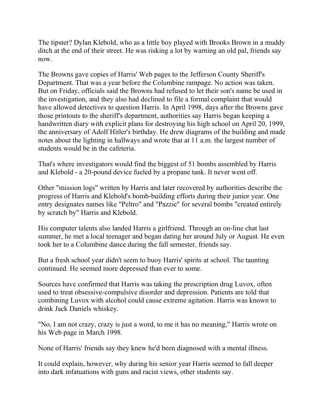The tipster? Dylan Klebold, who as a little boy played with Brooks Brown in a muddy ditch at the end of their street. He was risking a lot by warning an old pal, friends say now.

The Browns gave copies of Harris' Web pages to the Jefferson County Sheriff's Department. That was a year before the Columbine rampage. No action was taken. But on Friday, officials said the Browns had refused to let their son's name be used in the investigation, and they also had declined to file a formal complaint that would have allowed detectives to question Harris. In April 1998, days after the Browns gave those printouts to the sheriff's department, authorities say Harris began keeping a handwritten diary with explicit plans for destroying his high school on April 20, 1999, the anniversary of Adolf Hitler's birthday. He drew diagrams of the building and made notes about the lighting in hallways and wrote that at 11 a.m. the largest number of students would be in the cafeteria.

That's where investigators would find the biggest of 51 bombs assembled by Harris and Klebold - a 20-pound device fueled by a propane tank. It never went off.

Other "mission logs" written by Harris and later recovered by authorities describe the progress of Harris and Klebold's bomb-building efforts during their junior year. One entry designates names like "Peltro" and "Pazzie" for several bombs "created entirely by scratch by" Harris and Klebold.

His computer talents also landed Harris a girlfriend. Through an on-line chat last summer, he met a local teenager and began dating her around July or August. He even took her to a Columbine dance during the fall semester, friends say.

But a fresh school year didn't seem to buoy Harris' spirits at school. The taunting continued. He seemed more depressed than ever to some.

Sources have confirmed that Harris was taking the prescription drug Luvox, often used to treat obsessive-compulsive disorder and depression. Patients are told that combining Luvox with alcohol could cause extreme agitation. Harris was known to drink Jack Daniels whiskey.

"No, I am not crazy, crazy is just a word, to me it has no meaning," Harris wrote on his Web page in March 1998.

None of Harris' friends say they knew he'd been diagnosed with a mental illness.

It could explain, however, why during his senior year Harris seemed to fall deeper into dark infatuations with guns and racist views, other students say.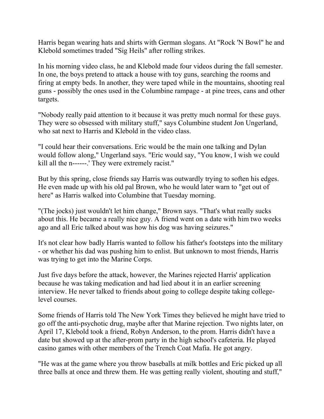Harris began wearing hats and shirts with German slogans. At "Rock 'N Bowl" he and Klebold sometimes traded "Sig Heils" after rolling strikes.

In his morning video class, he and Klebold made four videos during the fall semester. In one, the boys pretend to attack a house with toy guns, searching the rooms and firing at empty beds. In another, they were taped while in the mountains, shooting real guns - possibly the ones used in the Columbine rampage - at pine trees, cans and other targets.

"Nobody really paid attention to it because it was pretty much normal for these guys. They were so obsessed with military stuff," says Columbine student Jon Ungerland, who sat next to Harris and Klebold in the video class.

"I could hear their conversations. Eric would be the main one talking and Dylan would follow along," Ungerland says. "Eric would say, "You know, I wish we could kill all the n------.' They were extremely racist."

But by this spring, close friends say Harris was outwardly trying to soften his edges. He even made up with his old pal Brown, who he would later warn to "get out of here" as Harris walked into Columbine that Tuesday morning.

"(The jocks) just wouldn't let him change," Brown says. "That's what really sucks about this. He became a really nice guy. A friend went on a date with him two weeks ago and all Eric talked about was how his dog was having seizures."

It's not clear how badly Harris wanted to follow his father's footsteps into the military - or whether his dad was pushing him to enlist. But unknown to most friends, Harris was trying to get into the Marine Corps.

Just five days before the attack, however, the Marines rejected Harris' application because he was taking medication and had lied about it in an earlier screening interview. He never talked to friends about going to college despite taking collegelevel courses.

Some friends of Harris told The New York Times they believed he might have tried to go off the anti-psychotic drug, maybe after that Marine rejection. Two nights later, on April 17, Klebold took a friend, Robyn Anderson, to the prom. Harris didn't have a date but showed up at the after-prom party in the high school's cafeteria. He played casino games with other members of the Trench Coat Mafia. He got angry.

"He was at the game where you throw baseballs at milk bottles and Eric picked up all three balls at once and threw them. He was getting really violent, shouting and stuff,"